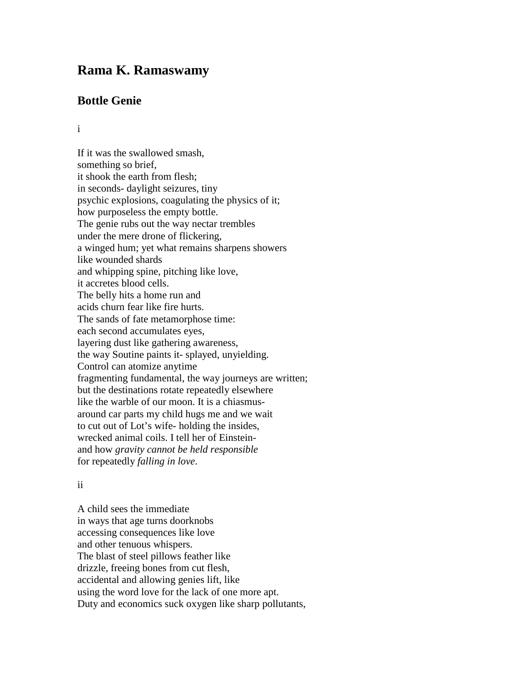## **Rama K. Ramaswamy**

## **Bottle Genie**

i

If it was the swallowed smash, something so brief, it shook the earth from flesh; in seconds- daylight seizures, tiny psychic explosions, coagulating the physics of it; how purposeless the empty bottle. The genie rubs out the way nectar trembles under the mere drone of flickering, a winged hum; yet what remains sharpens showers like wounded shards and whipping spine, pitching like love, it accretes blood cells. The belly hits a home run and acids churn fear like fire hurts. The sands of fate metamorphose time: each second accumulates eyes, layering dust like gathering awareness, the way Soutine paints it- splayed, unyielding. Control can atomize anytime fragmenting fundamental, the way journeys are written; but the destinations rotate repeatedly elsewhere like the warble of our moon. It is a chiasmusaround car parts my child hugs me and we wait to cut out of Lot's wife- holding the insides, wrecked animal coils. I tell her of Einsteinand how *gravity cannot be held responsible* for repeatedly *falling in love*.

## ii

A child sees the immediate in ways that age turns doorknobs accessing consequences like love and other tenuous whispers. The blast of steel pillows feather like drizzle, freeing bones from cut flesh, accidental and allowing genies lift, like using the word love for the lack of one more apt. Duty and economics suck oxygen like sharp pollutants,